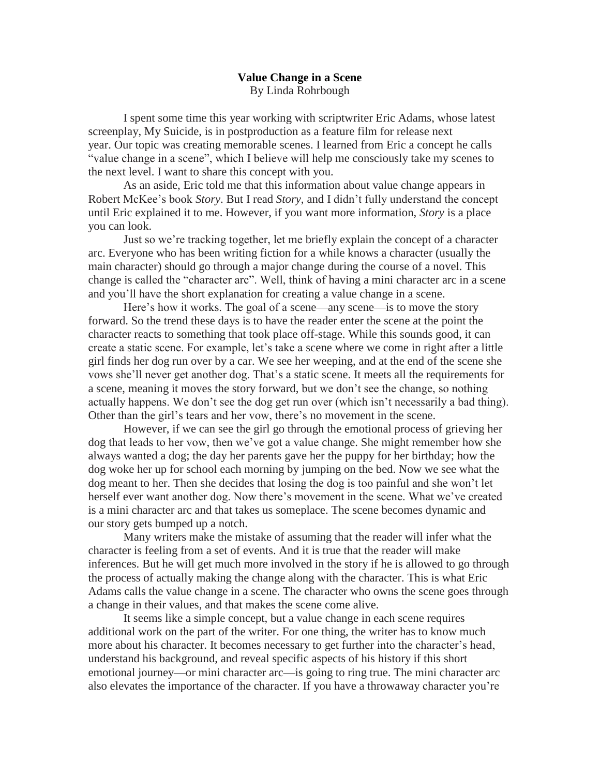## **Value Change in a Scene** By Linda Rohrbough

I spent some time this year working with scriptwriter Eric Adams, whose latest screenplay, My Suicide, is in postproduction as a feature film for release next year. Our topic was creating memorable scenes. I learned from Eric a concept he calls "value change in a scene", which I believe will help me consciously take my scenes to the next level. I want to share this concept with you.

As an aside, Eric told me that this information about value change appears in Robert McKee's book *Story*. But I read *Story*, and I didn't fully understand the concept until Eric explained it to me. However, if you want more information, *Story* is a place you can look.

Just so we're tracking together, let me briefly explain the concept of a character arc. Everyone who has been writing fiction for a while knows a character (usually the main character) should go through a major change during the course of a novel. This change is called the "character arc". Well, think of having a mini character arc in a scene and you'll have the short explanation for creating a value change in a scene.

Here's how it works. The goal of a scene—any scene—is to move the story forward. So the trend these days is to have the reader enter the scene at the point the character reacts to something that took place off-stage. While this sounds good, it can create a static scene. For example, let's take a scene where we come in right after a little girl finds her dog run over by a car. We see her weeping, and at the end of the scene she vows she'll never get another dog. That's a static scene. It meets all the requirements for a scene, meaning it moves the story forward, but we don't see the change, so nothing actually happens. We don't see the dog get run over (which isn't necessarily a bad thing). Other than the girl's tears and her vow, there's no movement in the scene.

However, if we can see the girl go through the emotional process of grieving her dog that leads to her vow, then we've got a value change. She might remember how she always wanted a dog; the day her parents gave her the puppy for her birthday; how the dog woke her up for school each morning by jumping on the bed. Now we see what the dog meant to her. Then she decides that losing the dog is too painful and she won't let herself ever want another dog. Now there's movement in the scene. What we've created is a mini character arc and that takes us someplace. The scene becomes dynamic and our story gets bumped up a notch.

Many writers make the mistake of assuming that the reader will infer what the character is feeling from a set of events. And it is true that the reader will make inferences. But he will get much more involved in the story if he is allowed to go through the process of actually making the change along with the character. This is what Eric Adams calls the value change in a scene. The character who owns the scene goes through a change in their values, and that makes the scene come alive.

It seems like a simple concept, but a value change in each scene requires additional work on the part of the writer. For one thing, the writer has to know much more about his character. It becomes necessary to get further into the character's head, understand his background, and reveal specific aspects of his history if this short emotional journey—or mini character arc—is going to ring true. The mini character arc also elevates the importance of the character. If you have a throwaway character you're